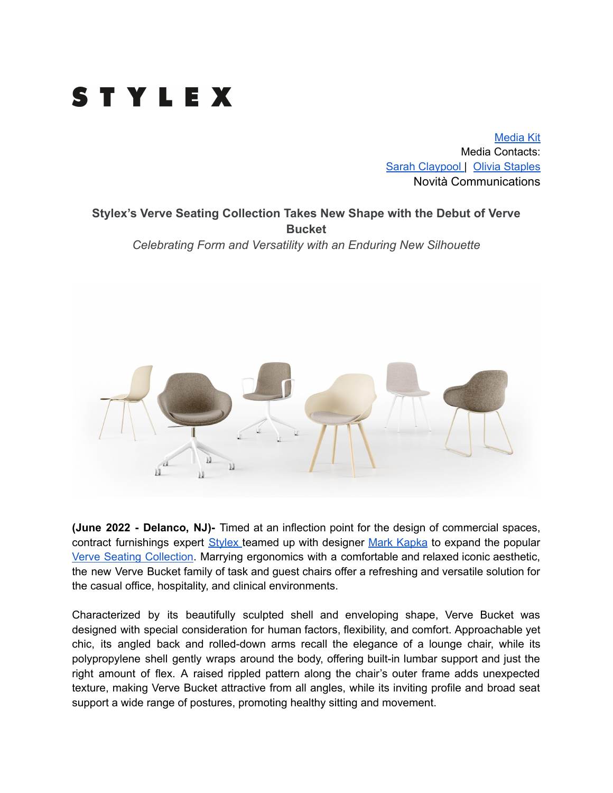

[Media](https://www.dropbox.com/sh/eeunifulp08szfg/AADWm2uZOiikY-41iFwp2lzBa?dl=0) Kit Media Contacts: Sarah [Claypool](mailto:sarah@novitapr.com) | Olivia [Staples](mailto:olivia@novitapr.com) Novità Communications

**Stylex's Verve Seating Collection Takes New Shape with the Debut of Verve Bucket** *Celebrating Form and Versatility with an Enduring New Silhouette*



**(June 2022 - Delanco, NJ)-** Timed at an inflection point for the design of commercial spaces, contract furnishings expert [Stylex](https://www.stylexseating.com/) teamed up with designer Mark [Kapka](https://www.stylexseating.com/designers/mark-kapka/) to expand the popular Verve Seating [Collection](https://www.stylexseating.com/products/verve/). Marrying ergonomics with a comfortable and relaxed iconic aesthetic, the new Verve Bucket family of task and guest chairs offer a refreshing and versatile solution for the casual office, hospitality, and clinical environments.

Characterized by its beautifully sculpted shell and enveloping shape, Verve Bucket was designed with special consideration for human factors, flexibility, and comfort. Approachable yet chic, its angled back and rolled-down arms recall the elegance of a lounge chair, while its polypropylene shell gently wraps around the body, offering built-in lumbar support and just the right amount of flex. A raised rippled pattern along the chair's outer frame adds unexpected texture, making Verve Bucket attractive from all angles, while its inviting profile and broad seat support a wide range of postures, promoting healthy sitting and movement.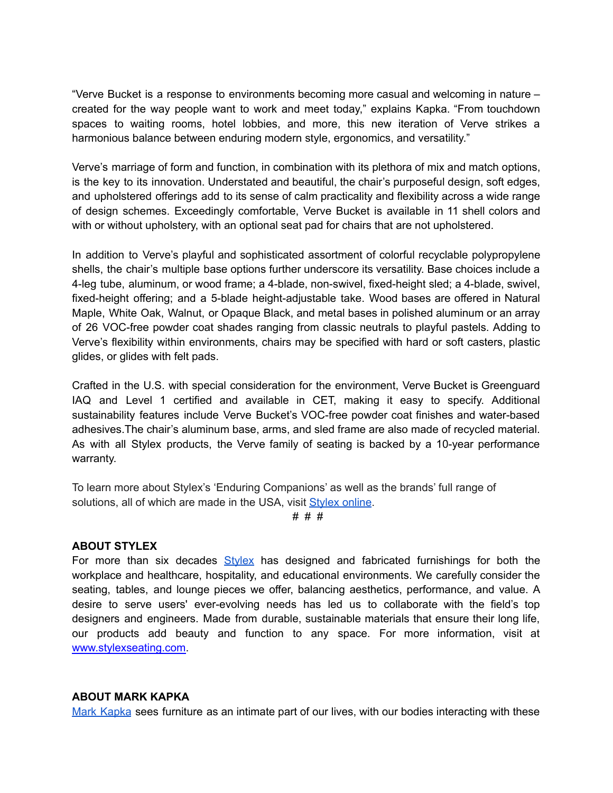"Verve Bucket is a response to environments becoming more casual and welcoming in nature – created for the way people want to work and meet today," explains Kapka. "From touchdown spaces to waiting rooms, hotel lobbies, and more, this new iteration of Verve strikes a harmonious balance between enduring modern style, ergonomics, and versatility."

Verve's marriage of form and function, in combination with its plethora of mix and match options, is the key to its innovation. Understated and beautiful, the chair's purposeful design, soft edges, and upholstered offerings add to its sense of calm practicality and flexibility across a wide range of design schemes. Exceedingly comfortable, Verve Bucket is available in 11 shell colors and with or without upholstery, with an optional seat pad for chairs that are not upholstered.

In addition to Verve's playful and sophisticated assortment of colorful recyclable polypropylene shells, the chair's multiple base options further underscore its versatility. Base choices include a 4-leg tube, aluminum, or wood frame; a 4-blade, non-swivel, fixed-height sled; a 4-blade, swivel, fixed-height offering; and a 5-blade height-adjustable take. Wood bases are offered in Natural Maple, White Oak, Walnut, or Opaque Black, and metal bases in polished aluminum or an array of 26 VOC-free powder coat shades ranging from classic neutrals to playful pastels. Adding to Verve's flexibility within environments, chairs may be specified with hard or soft casters, plastic glides, or glides with felt pads.

Crafted in the U.S. with special consideration for the environment, Verve Bucket is Greenguard IAQ and Level 1 certified and available in CET, making it easy to specify. Additional sustainability features include Verve Bucket's VOC-free powder coat finishes and water-based adhesives.The chair's aluminum base, arms, and sled frame are also made of recycled material. As with all Stylex products, the Verve family of seating is backed by a 10-year performance warranty.

To learn more about Stylex's 'Enduring Companions' as well as the brands' full range of solutions, all of which are made in the USA, visit [Stylex](http://stylexseating.com/) online.

# # #

## **ABOUT STYLEX**

For more than six decades  $Stvlex$  has designed and fabricated furnishings for both the workplace and healthcare, hospitality, and educational environments. We carefully consider the seating, tables, and lounge pieces we offer, balancing aesthetics, performance, and value. A desire to serve users' ever-evolving needs has led us to collaborate with the field's top designers and engineers. Made from durable, sustainable materials that ensure their long life, our products add beauty and function to any space. For more information, visit at [www.stylexseating.com.](http://www.stylexseating.com)

## **ABOUT MARK KAPKA**

Mark [Kapka](https://www.stylexseating.com/designers/mark-kapka/) sees furniture as an intimate part of our lives, with our bodies interacting with these